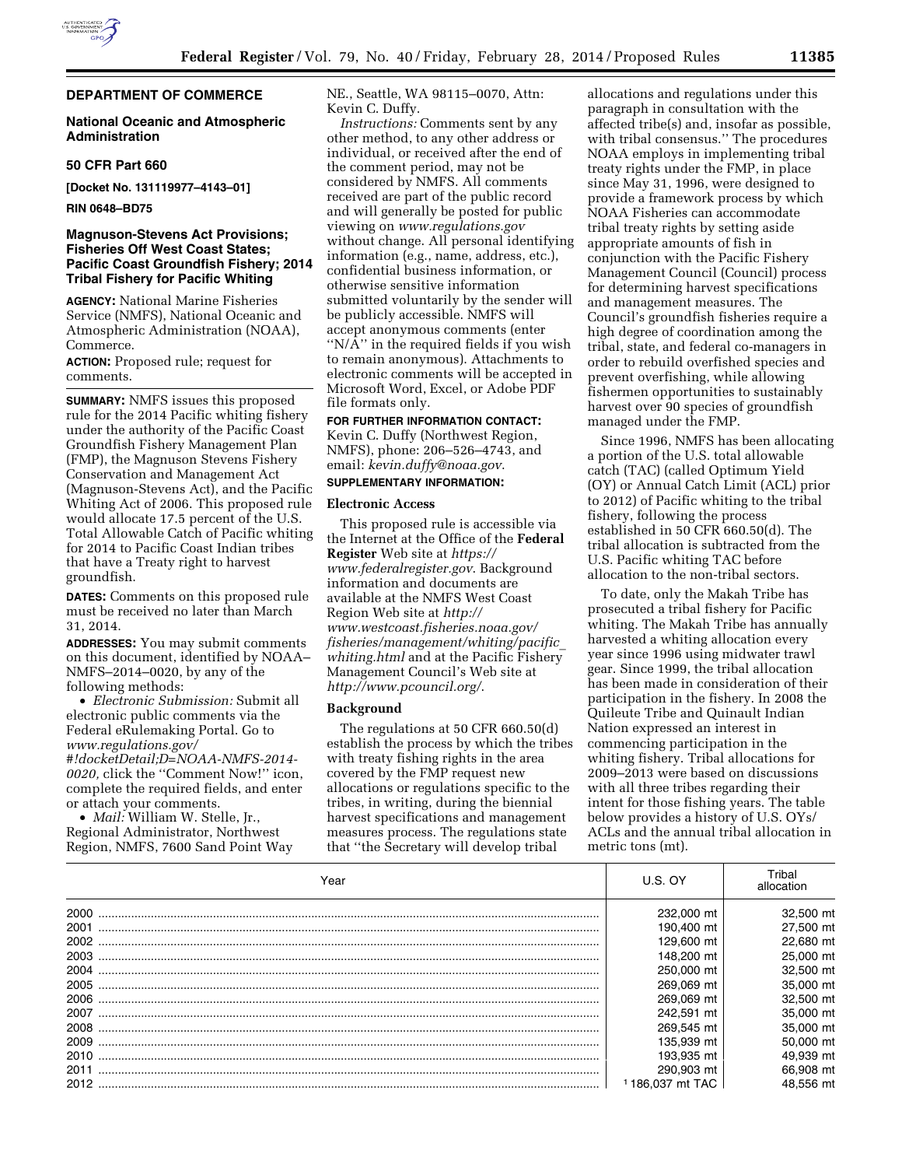

## **National Oceanic and Atmospheric Administration**

### **50 CFR Part 660**

**[Docket No. 131119977–4143–01]** 

**RIN 0648–BD75** 

## **Magnuson-Stevens Act Provisions; Fisheries Off West Coast States; Pacific Coast Groundfish Fishery; 2014 Tribal Fishery for Pacific Whiting**

**AGENCY:** National Marine Fisheries Service (NMFS), National Oceanic and Atmospheric Administration (NOAA), Commerce.

**ACTION:** Proposed rule; request for comments.

**SUMMARY:** NMFS issues this proposed rule for the 2014 Pacific whiting fishery under the authority of the Pacific Coast Groundfish Fishery Management Plan (FMP), the Magnuson Stevens Fishery Conservation and Management Act (Magnuson-Stevens Act), and the Pacific Whiting Act of 2006. This proposed rule would allocate 17.5 percent of the U.S. Total Allowable Catch of Pacific whiting for 2014 to Pacific Coast Indian tribes that have a Treaty right to harvest groundfish.

**DATES:** Comments on this proposed rule must be received no later than March 31, 2014.

**ADDRESSES:** You may submit comments on this document, identified by NOAA– NMFS–2014–0020, by any of the following methods:

• *Electronic Submission:* Submit all electronic public comments via the Federal eRulemaking Portal. Go to *[www.regulations.gov/](http://www.regulations.gov/#!docketDetail;D=NOAA-NMFS-2014-0020) [#!docketDetail;D=NOAA-NMFS-2014-](http://www.regulations.gov/#!docketDetail;D=NOAA-NMFS-2014-0020) [0020,](http://www.regulations.gov/#!docketDetail;D=NOAA-NMFS-2014-0020)* click the ''Comment Now!'' icon, complete the required fields, and enter or attach your comments.

• *Mail:* William W. Stelle, Jr., Regional Administrator, Northwest Region, NMFS, 7600 Sand Point Way NE., Seattle, WA 98115–0070, Attn: Kevin C. Duffy.

*Instructions:* Comments sent by any other method, to any other address or individual, or received after the end of the comment period, may not be considered by NMFS. All comments received are part of the public record and will generally be posted for public viewing on *[www.regulations.gov](http://www.regulations.gov)*  without change. All personal identifying information (e.g., name, address, etc.), confidential business information, or otherwise sensitive information submitted voluntarily by the sender will be publicly accessible. NMFS will accept anonymous comments (enter ''N/A'' in the required fields if you wish to remain anonymous). Attachments to electronic comments will be accepted in Microsoft Word, Excel, or Adobe PDF file formats only.

# **FOR FURTHER INFORMATION CONTACT:**

Kevin C. Duffy (Northwest Region, NMFS), phone: 206–526–4743, and email: *[kevin.duffy@noaa.gov](mailto:kevin.duffy@noaa.gov)*.

## **SUPPLEMENTARY INFORMATION:**

### **Electronic Access**

This proposed rule is accessible via the Internet at the Office of the **Federal Register** Web site at *[https://](https://www.federalregister.gov) [www.federalregister.gov](https://www.federalregister.gov)*. Background information and documents are available at the NMFS West Coast Region Web site at *[http://](http://www.westcoast.fisheries.noaa.gov/fisheries/management/whiting/pacific_whiting.html) [www.westcoast.fisheries.noaa.gov/](http://www.westcoast.fisheries.noaa.gov/fisheries/management/whiting/pacific_whiting.html) [fisheries/management/whiting/pacific](http://www.westcoast.fisheries.noaa.gov/fisheries/management/whiting/pacific_whiting.html)*\_ *[whiting.html](http://www.westcoast.fisheries.noaa.gov/fisheries/management/whiting/pacific_whiting.html)* and at the Pacific Fishery Management Council's Web site at *<http://www.pcouncil.org/>*.

### **Background**

The regulations at 50 CFR 660.50(d) establish the process by which the tribes with treaty fishing rights in the area covered by the FMP request new allocations or regulations specific to the tribes, in writing, during the biennial harvest specifications and management measures process. The regulations state that ''the Secretary will develop tribal

allocations and regulations under this paragraph in consultation with the affected tribe(s) and, insofar as possible, with tribal consensus.'' The procedures NOAA employs in implementing tribal treaty rights under the FMP, in place since May 31, 1996, were designed to provide a framework process by which NOAA Fisheries can accommodate tribal treaty rights by setting aside appropriate amounts of fish in conjunction with the Pacific Fishery Management Council (Council) process for determining harvest specifications and management measures. The Council's groundfish fisheries require a high degree of coordination among the tribal, state, and federal co-managers in order to rebuild overfished species and prevent overfishing, while allowing fishermen opportunities to sustainably harvest over 90 species of groundfish managed under the FMP.

Since 1996, NMFS has been allocating a portion of the U.S. total allowable catch (TAC) (called Optimum Yield (OY) or Annual Catch Limit (ACL) prior to 2012) of Pacific whiting to the tribal fishery, following the process established in 50 CFR 660.50(d). The tribal allocation is subtracted from the U.S. Pacific whiting TAC before allocation to the non-tribal sectors.

To date, only the Makah Tribe has prosecuted a tribal fishery for Pacific whiting. The Makah Tribe has annually harvested a whiting allocation every year since 1996 using midwater trawl gear. Since 1999, the tribal allocation has been made in consideration of their participation in the fishery. In 2008 the Quileute Tribe and Quinault Indian Nation expressed an interest in commencing participation in the whiting fishery. Tribal allocations for 2009–2013 were based on discussions with all three tribes regarding their intent for those fishing years. The table below provides a history of U.S. OYs/ ACLs and the annual tribal allocation in metric tons (mt).

| Year  | U.S. OY         | Tribal<br>allocation |
|-------|-----------------|----------------------|
| 2000. | 232,000 mt      | 32,500 mt            |
| 2001  | 190.400 mt      | 27,500 mt            |
|       | 129,600 mt      | 22,680 mt            |
| 2003  | 148,200 mt      | 25,000 mt            |
| 2004  | 250,000 mt      | 32,500 mt            |
|       | 269.069 mt      | 35,000 mt            |
| 2006  | 269.069 mt      | 32,500 mt            |
| 2007  | 242.591 mt      | 35,000 mt            |
|       | 269,545 mt      | 35,000 mt            |
| 2009  | 135.939 mt      | 50,000 mt            |
| 2010- | 193.935 mt      | 49.939 mt            |
| 2011  | 290.903 mt      | 66.908 mt            |
|       | 1186.037 mt TAC | 48.556 mt            |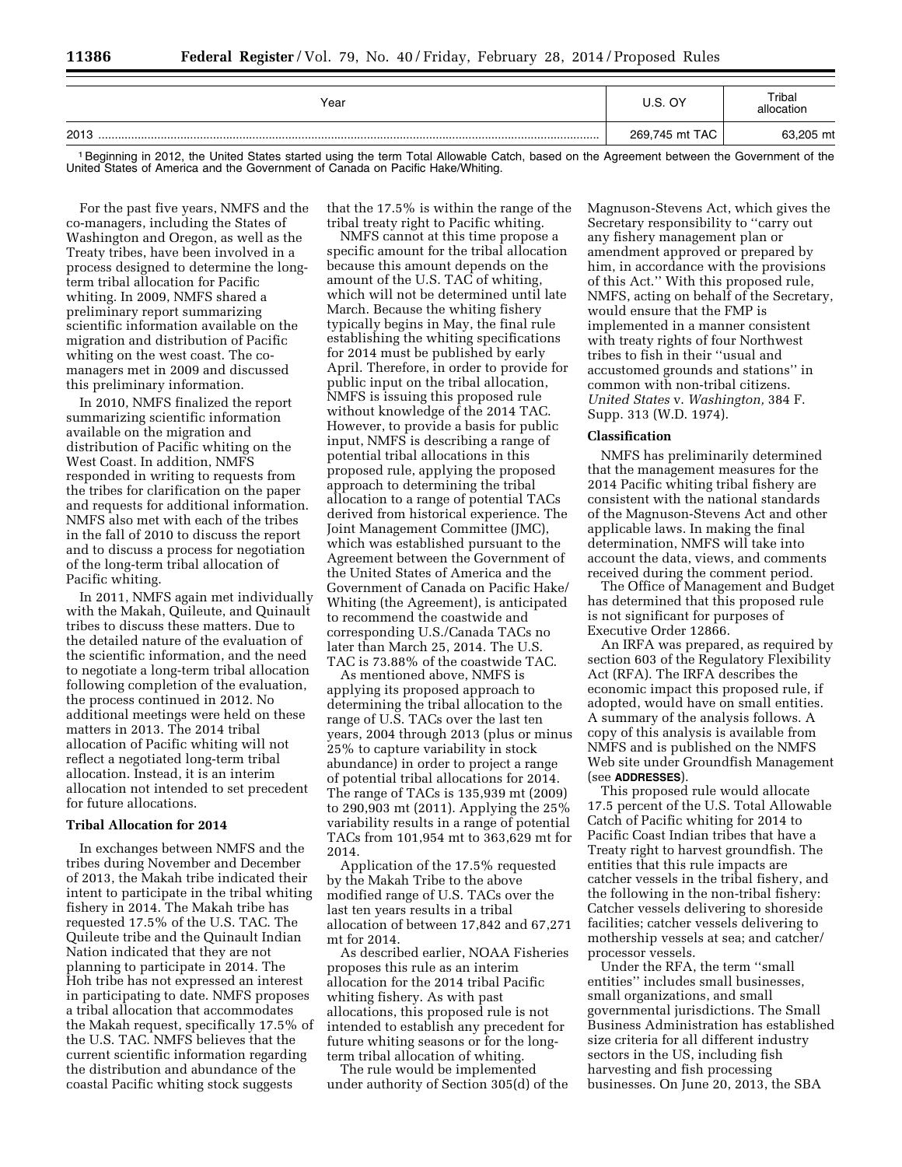| Year | U.S. OY        | Tribal<br>allocation |
|------|----------------|----------------------|
| 2013 | 269,745 mt TAC | 63,205 mt            |

<sup>1</sup> Beginning in 2012, the United States started using the term Total Allowable Catch, based on the Agreement between the Government of the United States of America and the Government of Canada on Pacific Hake/Whiting.

For the past five years, NMFS and the co-managers, including the States of Washington and Oregon, as well as the Treaty tribes, have been involved in a process designed to determine the longterm tribal allocation for Pacific whiting. In 2009, NMFS shared a preliminary report summarizing scientific information available on the migration and distribution of Pacific whiting on the west coast. The comanagers met in 2009 and discussed this preliminary information.

In 2010, NMFS finalized the report summarizing scientific information available on the migration and distribution of Pacific whiting on the West Coast. In addition, NMFS responded in writing to requests from the tribes for clarification on the paper and requests for additional information. NMFS also met with each of the tribes in the fall of 2010 to discuss the report and to discuss a process for negotiation of the long-term tribal allocation of Pacific whiting.

In 2011, NMFS again met individually with the Makah, Quileute, and Quinault tribes to discuss these matters. Due to the detailed nature of the evaluation of the scientific information, and the need to negotiate a long-term tribal allocation following completion of the evaluation, the process continued in 2012. No additional meetings were held on these matters in 2013. The 2014 tribal allocation of Pacific whiting will not reflect a negotiated long-term tribal allocation. Instead, it is an interim allocation not intended to set precedent for future allocations.

# **Tribal Allocation for 2014**

In exchanges between NMFS and the tribes during November and December of 2013, the Makah tribe indicated their intent to participate in the tribal whiting fishery in 2014. The Makah tribe has requested 17.5% of the U.S. TAC. The Quileute tribe and the Quinault Indian Nation indicated that they are not planning to participate in 2014. The Hoh tribe has not expressed an interest in participating to date. NMFS proposes a tribal allocation that accommodates the Makah request, specifically 17.5% of the U.S. TAC. NMFS believes that the current scientific information regarding the distribution and abundance of the coastal Pacific whiting stock suggests

that the 17.5% is within the range of the tribal treaty right to Pacific whiting.

NMFS cannot at this time propose a specific amount for the tribal allocation because this amount depends on the amount of the U.S. TAC of whiting, which will not be determined until late March. Because the whiting fishery typically begins in May, the final rule establishing the whiting specifications for 2014 must be published by early April. Therefore, in order to provide for public input on the tribal allocation, NMFS is issuing this proposed rule without knowledge of the 2014 TAC. However, to provide a basis for public input, NMFS is describing a range of potential tribal allocations in this proposed rule, applying the proposed approach to determining the tribal allocation to a range of potential TACs derived from historical experience. The Joint Management Committee (JMC), which was established pursuant to the Agreement between the Government of the United States of America and the Government of Canada on Pacific Hake/ Whiting (the Agreement), is anticipated to recommend the coastwide and corresponding U.S./Canada TACs no later than March 25, 2014. The U.S. TAC is 73.88% of the coastwide TAC.

As mentioned above, NMFS is applying its proposed approach to determining the tribal allocation to the range of U.S. TACs over the last ten years, 2004 through 2013 (plus or minus 25% to capture variability in stock abundance) in order to project a range of potential tribal allocations for 2014. The range of TACs is 135,939 mt (2009) to 290,903 mt (2011). Applying the 25% variability results in a range of potential TACs from 101,954 mt to 363,629 mt for 2014.

Application of the 17.5% requested by the Makah Tribe to the above modified range of U.S. TACs over the last ten years results in a tribal allocation of between 17,842 and 67,271 mt for 2014.

As described earlier, NOAA Fisheries proposes this rule as an interim allocation for the 2014 tribal Pacific whiting fishery. As with past allocations, this proposed rule is not intended to establish any precedent for future whiting seasons or for the longterm tribal allocation of whiting.

The rule would be implemented under authority of Section 305(d) of the Magnuson-Stevens Act, which gives the Secretary responsibility to ''carry out any fishery management plan or amendment approved or prepared by him, in accordance with the provisions of this Act.'' With this proposed rule, NMFS, acting on behalf of the Secretary, would ensure that the FMP is implemented in a manner consistent with treaty rights of four Northwest tribes to fish in their ''usual and accustomed grounds and stations'' in common with non-tribal citizens. *United States* v. *Washington,* 384 F. Supp. 313 (W.D. 1974).

#### **Classification**

NMFS has preliminarily determined that the management measures for the 2014 Pacific whiting tribal fishery are consistent with the national standards of the Magnuson-Stevens Act and other applicable laws. In making the final determination, NMFS will take into account the data, views, and comments received during the comment period.

The Office of Management and Budget has determined that this proposed rule is not significant for purposes of Executive Order 12866.

An IRFA was prepared, as required by section 603 of the Regulatory Flexibility Act (RFA). The IRFA describes the economic impact this proposed rule, if adopted, would have on small entities. A summary of the analysis follows. A copy of this analysis is available from NMFS and is published on the NMFS Web site under Groundfish Management (see **ADDRESSES**).

This proposed rule would allocate 17.5 percent of the U.S. Total Allowable Catch of Pacific whiting for 2014 to Pacific Coast Indian tribes that have a Treaty right to harvest groundfish. The entities that this rule impacts are catcher vessels in the tribal fishery, and the following in the non-tribal fishery: Catcher vessels delivering to shoreside facilities; catcher vessels delivering to mothership vessels at sea; and catcher/ processor vessels.

Under the RFA, the term ''small entities'' includes small businesses, small organizations, and small governmental jurisdictions. The Small Business Administration has established size criteria for all different industry sectors in the US, including fish harvesting and fish processing businesses. On June 20, 2013, the SBA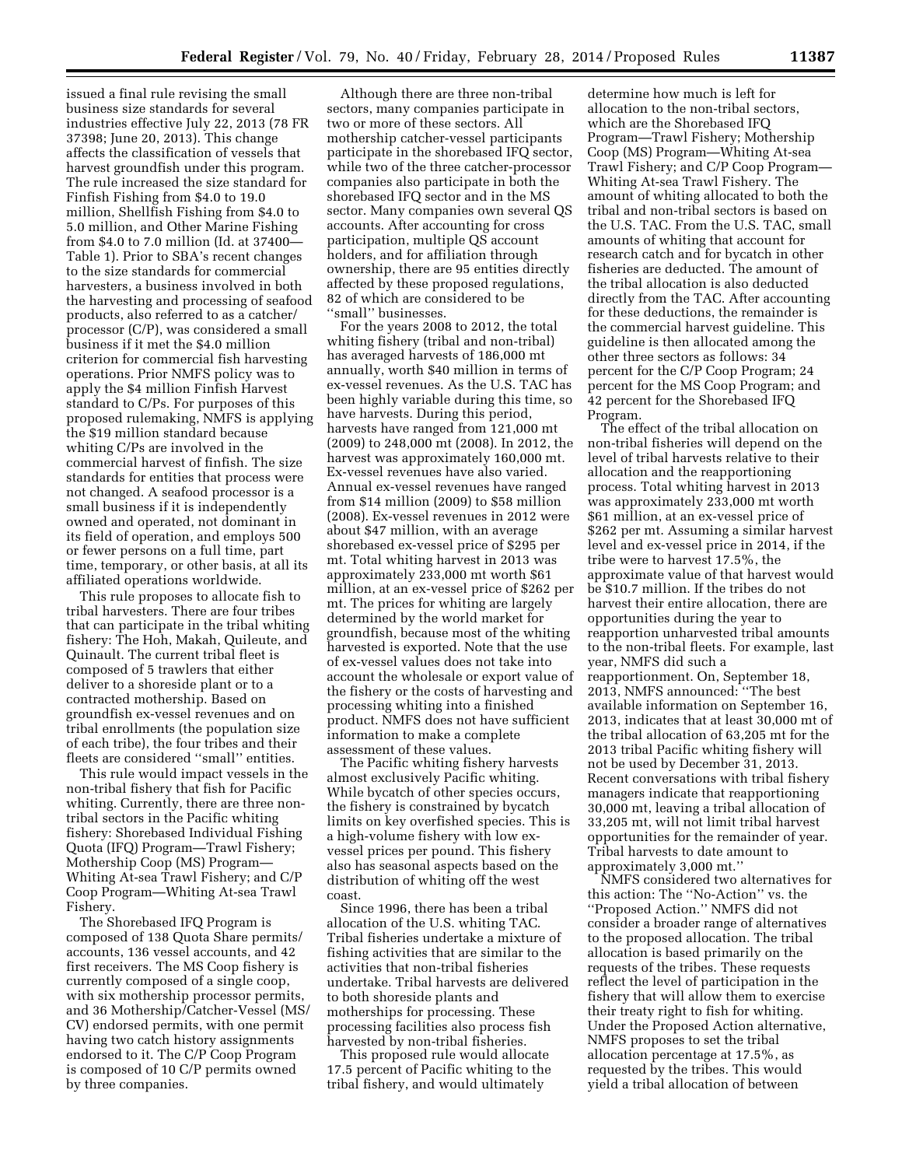issued a final rule revising the small business size standards for several industries effective July 22, 2013 (78 FR 37398; June 20, 2013). This change affects the classification of vessels that harvest groundfish under this program. The rule increased the size standard for Finfish Fishing from \$4.0 to 19.0 million, Shellfish Fishing from \$4.0 to 5.0 million, and Other Marine Fishing from \$4.0 to 7.0 million (Id. at 37400— Table 1). Prior to SBA's recent changes to the size standards for commercial harvesters, a business involved in both the harvesting and processing of seafood products, also referred to as a catcher/ processor (C/P), was considered a small business if it met the \$4.0 million criterion for commercial fish harvesting operations. Prior NMFS policy was to apply the \$4 million Finfish Harvest standard to C/Ps. For purposes of this proposed rulemaking, NMFS is applying the \$19 million standard because whiting C/Ps are involved in the commercial harvest of finfish. The size standards for entities that process were not changed. A seafood processor is a small business if it is independently owned and operated, not dominant in its field of operation, and employs 500 or fewer persons on a full time, part time, temporary, or other basis, at all its affiliated operations worldwide.

This rule proposes to allocate fish to tribal harvesters. There are four tribes that can participate in the tribal whiting fishery: The Hoh, Makah, Quileute, and Quinault. The current tribal fleet is composed of 5 trawlers that either deliver to a shoreside plant or to a contracted mothership. Based on groundfish ex-vessel revenues and on tribal enrollments (the population size of each tribe), the four tribes and their fleets are considered ''small'' entities.

This rule would impact vessels in the non-tribal fishery that fish for Pacific whiting. Currently, there are three nontribal sectors in the Pacific whiting fishery: Shorebased Individual Fishing Quota (IFQ) Program—Trawl Fishery; Mothership Coop (MS) Program— Whiting At-sea Trawl Fishery; and C/P Coop Program—Whiting At-sea Trawl Fishery.

The Shorebased IFQ Program is composed of 138 Quota Share permits/ accounts, 136 vessel accounts, and 42 first receivers. The MS Coop fishery is currently composed of a single coop, with six mothership processor permits, and 36 Mothership/Catcher-Vessel (MS/ CV) endorsed permits, with one permit having two catch history assignments endorsed to it. The C/P Coop Program is composed of 10 C/P permits owned by three companies.

Although there are three non-tribal sectors, many companies participate in two or more of these sectors. All mothership catcher-vessel participants participate in the shorebased IFQ sector, while two of the three catcher-processor companies also participate in both the shorebased IFQ sector and in the MS sector. Many companies own several QS accounts. After accounting for cross participation, multiple QS account holders, and for affiliation through ownership, there are 95 entities directly affected by these proposed regulations, 82 of which are considered to be ''small'' businesses.

For the years 2008 to 2012, the total whiting fishery (tribal and non-tribal) has averaged harvests of 186,000 mt annually, worth \$40 million in terms of ex-vessel revenues. As the U.S. TAC has been highly variable during this time, so have harvests. During this period, harvests have ranged from 121,000 mt (2009) to 248,000 mt (2008). In 2012, the harvest was approximately 160,000 mt. Ex-vessel revenues have also varied. Annual ex-vessel revenues have ranged from \$14 million (2009) to \$58 million (2008). Ex-vessel revenues in 2012 were about \$47 million, with an average shorebased ex-vessel price of \$295 per mt. Total whiting harvest in 2013 was approximately 233,000 mt worth \$61 million, at an ex-vessel price of \$262 per mt. The prices for whiting are largely determined by the world market for groundfish, because most of the whiting harvested is exported. Note that the use of ex-vessel values does not take into account the wholesale or export value of the fishery or the costs of harvesting and processing whiting into a finished product. NMFS does not have sufficient information to make a complete assessment of these values.

The Pacific whiting fishery harvests almost exclusively Pacific whiting. While bycatch of other species occurs, the fishery is constrained by bycatch limits on key overfished species. This is a high-volume fishery with low exvessel prices per pound. This fishery also has seasonal aspects based on the distribution of whiting off the west coast.

Since 1996, there has been a tribal allocation of the U.S. whiting TAC. Tribal fisheries undertake a mixture of fishing activities that are similar to the activities that non-tribal fisheries undertake. Tribal harvests are delivered to both shoreside plants and motherships for processing. These processing facilities also process fish harvested by non-tribal fisheries.

This proposed rule would allocate 17.5 percent of Pacific whiting to the tribal fishery, and would ultimately

determine how much is left for allocation to the non-tribal sectors, which are the Shorebased IFQ Program—Trawl Fishery; Mothership Coop (MS) Program—Whiting At-sea Trawl Fishery; and C/P Coop Program— Whiting At-sea Trawl Fishery. The amount of whiting allocated to both the tribal and non-tribal sectors is based on the U.S. TAC. From the U.S. TAC, small amounts of whiting that account for research catch and for bycatch in other fisheries are deducted. The amount of the tribal allocation is also deducted directly from the TAC. After accounting for these deductions, the remainder is the commercial harvest guideline. This guideline is then allocated among the other three sectors as follows: 34 percent for the C/P Coop Program; 24 percent for the MS Coop Program; and 42 percent for the Shorebased IFQ Program.

The effect of the tribal allocation on non-tribal fisheries will depend on the level of tribal harvests relative to their allocation and the reapportioning process. Total whiting harvest in 2013 was approximately 233,000 mt worth \$61 million, at an ex-vessel price of \$262 per mt. Assuming a similar harvest level and ex-vessel price in 2014, if the tribe were to harvest 17.5%, the approximate value of that harvest would be \$10.7 million. If the tribes do not harvest their entire allocation, there are opportunities during the year to reapportion unharvested tribal amounts to the non-tribal fleets. For example, last year, NMFS did such a reapportionment. On, September 18, 2013, NMFS announced: ''The best available information on September 16, 2013, indicates that at least 30,000 mt of the tribal allocation of 63,205 mt for the 2013 tribal Pacific whiting fishery will not be used by December 31, 2013. Recent conversations with tribal fishery managers indicate that reapportioning 30,000 mt, leaving a tribal allocation of 33,205 mt, will not limit tribal harvest opportunities for the remainder of year. Tribal harvests to date amount to approximately 3,000 mt.''

NMFS considered two alternatives for this action: The ''No-Action'' vs. the ''Proposed Action.'' NMFS did not consider a broader range of alternatives to the proposed allocation. The tribal allocation is based primarily on the requests of the tribes. These requests reflect the level of participation in the fishery that will allow them to exercise their treaty right to fish for whiting. Under the Proposed Action alternative, NMFS proposes to set the tribal allocation percentage at 17.5%, as requested by the tribes. This would yield a tribal allocation of between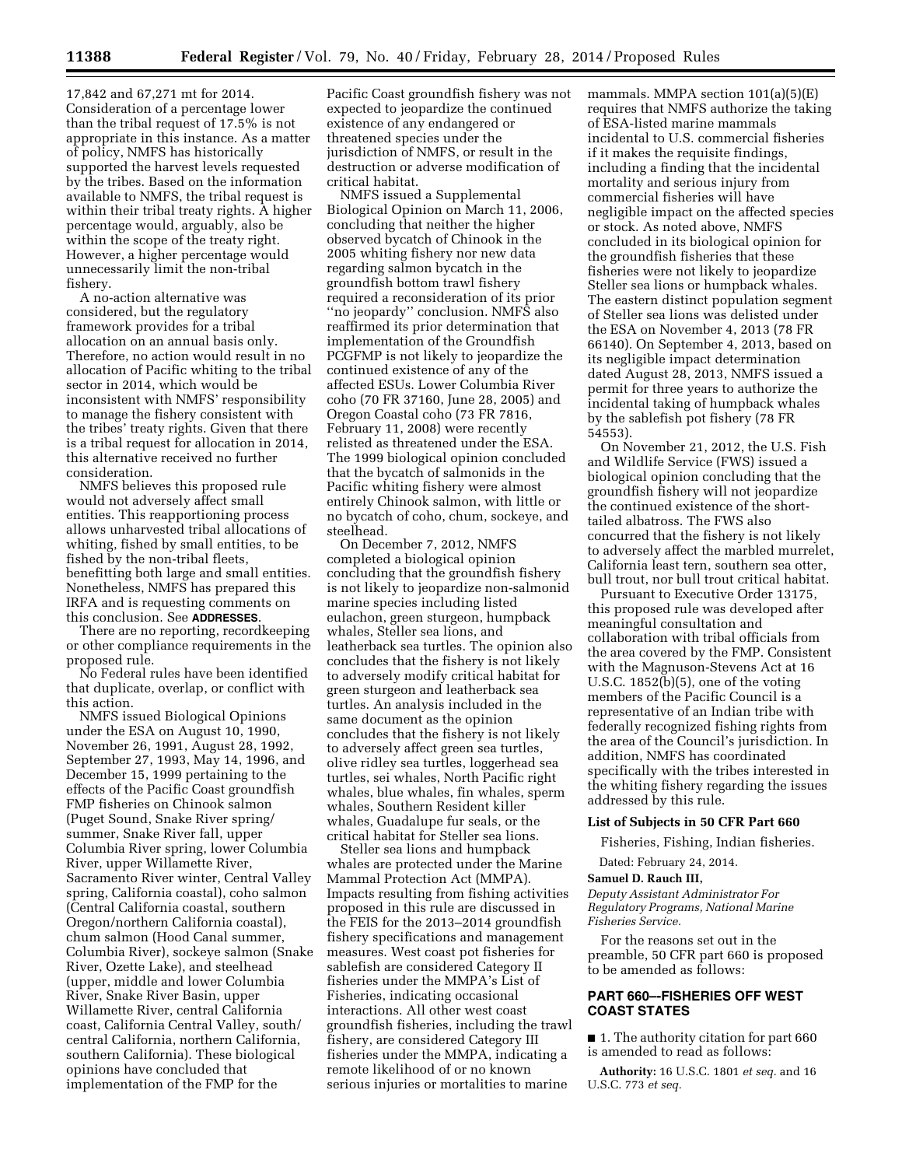17,842 and 67,271 mt for 2014. Consideration of a percentage lower than the tribal request of 17.5% is not appropriate in this instance. As a matter of policy, NMFS has historically supported the harvest levels requested by the tribes. Based on the information available to NMFS, the tribal request is within their tribal treaty rights. A higher percentage would, arguably, also be within the scope of the treaty right. However, a higher percentage would unnecessarily limit the non-tribal fishery.

A no-action alternative was considered, but the regulatory framework provides for a tribal allocation on an annual basis only. Therefore, no action would result in no allocation of Pacific whiting to the tribal sector in 2014, which would be inconsistent with NMFS' responsibility to manage the fishery consistent with the tribes' treaty rights. Given that there is a tribal request for allocation in 2014, this alternative received no further consideration.

NMFS believes this proposed rule would not adversely affect small entities. This reapportioning process allows unharvested tribal allocations of whiting, fished by small entities, to be fished by the non-tribal fleets, benefitting both large and small entities. Nonetheless, NMFS has prepared this IRFA and is requesting comments on this conclusion. See **ADDRESSES**.

There are no reporting, recordkeeping or other compliance requirements in the proposed rule.

No Federal rules have been identified that duplicate, overlap, or conflict with this action.

NMFS issued Biological Opinions under the ESA on August 10, 1990, November 26, 1991, August 28, 1992, September 27, 1993, May 14, 1996, and December 15, 1999 pertaining to the effects of the Pacific Coast groundfish FMP fisheries on Chinook salmon (Puget Sound, Snake River spring/ summer, Snake River fall, upper Columbia River spring, lower Columbia River, upper Willamette River, Sacramento River winter, Central Valley spring, California coastal), coho salmon (Central California coastal, southern Oregon/northern California coastal), chum salmon (Hood Canal summer, Columbia River), sockeye salmon (Snake River, Ozette Lake), and steelhead (upper, middle and lower Columbia River, Snake River Basin, upper Willamette River, central California coast, California Central Valley, south/ central California, northern California, southern California). These biological opinions have concluded that implementation of the FMP for the

Pacific Coast groundfish fishery was not expected to jeopardize the continued existence of any endangered or threatened species under the jurisdiction of NMFS, or result in the destruction or adverse modification of critical habitat.

NMFS issued a Supplemental Biological Opinion on March 11, 2006, concluding that neither the higher observed bycatch of Chinook in the 2005 whiting fishery nor new data regarding salmon bycatch in the groundfish bottom trawl fishery required a reconsideration of its prior ''no jeopardy'' conclusion. NMFS also reaffirmed its prior determination that implementation of the Groundfish PCGFMP is not likely to jeopardize the continued existence of any of the affected ESUs. Lower Columbia River coho (70 FR 37160, June 28, 2005) and Oregon Coastal coho (73 FR 7816, February 11, 2008) were recently relisted as threatened under the ESA. The 1999 biological opinion concluded that the bycatch of salmonids in the Pacific whiting fishery were almost entirely Chinook salmon, with little or no bycatch of coho, chum, sockeye, and steelhead.

On December 7, 2012, NMFS completed a biological opinion concluding that the groundfish fishery is not likely to jeopardize non-salmonid marine species including listed eulachon, green sturgeon, humpback whales, Steller sea lions, and leatherback sea turtles. The opinion also concludes that the fishery is not likely to adversely modify critical habitat for green sturgeon and leatherback sea turtles. An analysis included in the same document as the opinion concludes that the fishery is not likely to adversely affect green sea turtles, olive ridley sea turtles, loggerhead sea turtles, sei whales, North Pacific right whales, blue whales, fin whales, sperm whales, Southern Resident killer whales, Guadalupe fur seals, or the critical habitat for Steller sea lions.

Steller sea lions and humpback whales are protected under the Marine Mammal Protection Act (MMPA). Impacts resulting from fishing activities proposed in this rule are discussed in the FEIS for the 2013–2014 groundfish fishery specifications and management measures. West coast pot fisheries for sablefish are considered Category II fisheries under the MMPA's List of Fisheries, indicating occasional interactions. All other west coast groundfish fisheries, including the trawl fishery, are considered Category III fisheries under the MMPA, indicating a remote likelihood of or no known serious injuries or mortalities to marine

mammals. MMPA section 101(a)(5)(E) requires that NMFS authorize the taking of ESA-listed marine mammals incidental to U.S. commercial fisheries if it makes the requisite findings, including a finding that the incidental mortality and serious injury from commercial fisheries will have negligible impact on the affected species or stock. As noted above, NMFS concluded in its biological opinion for the groundfish fisheries that these fisheries were not likely to jeopardize Steller sea lions or humpback whales. The eastern distinct population segment of Steller sea lions was delisted under the ESA on November 4, 2013 (78 FR 66140). On September 4, 2013, based on its negligible impact determination dated August 28, 2013, NMFS issued a permit for three years to authorize the incidental taking of humpback whales by the sablefish pot fishery (78 FR 54553).

On November 21, 2012, the U.S. Fish and Wildlife Service (FWS) issued a biological opinion concluding that the groundfish fishery will not jeopardize the continued existence of the shorttailed albatross. The FWS also concurred that the fishery is not likely to adversely affect the marbled murrelet, California least tern, southern sea otter, bull trout, nor bull trout critical habitat.

Pursuant to Executive Order 13175, this proposed rule was developed after meaningful consultation and collaboration with tribal officials from the area covered by the FMP. Consistent with the Magnuson-Stevens Act at 16 U.S.C. 1852(b)(5), one of the voting members of the Pacific Council is a representative of an Indian tribe with federally recognized fishing rights from the area of the Council's jurisdiction. In addition, NMFS has coordinated specifically with the tribes interested in the whiting fishery regarding the issues addressed by this rule.

# **List of Subjects in 50 CFR Part 660**

Fisheries, Fishing, Indian fisheries.

Dated: February 24, 2014.

#### **Samuel D. Rauch III,**

*Deputy Assistant Administrator For Regulatory Programs, National Marine Fisheries Service.* 

For the reasons set out in the preamble, 50 CFR part 660 is proposed to be amended as follows:

### **PART 660–-FISHERIES OFF WEST COAST STATES**

■ 1. The authority citation for part 660 is amended to read as follows:

**Authority:** 16 U.S.C. 1801 *et seq.* and 16 U.S.C. 773 *et seq.*